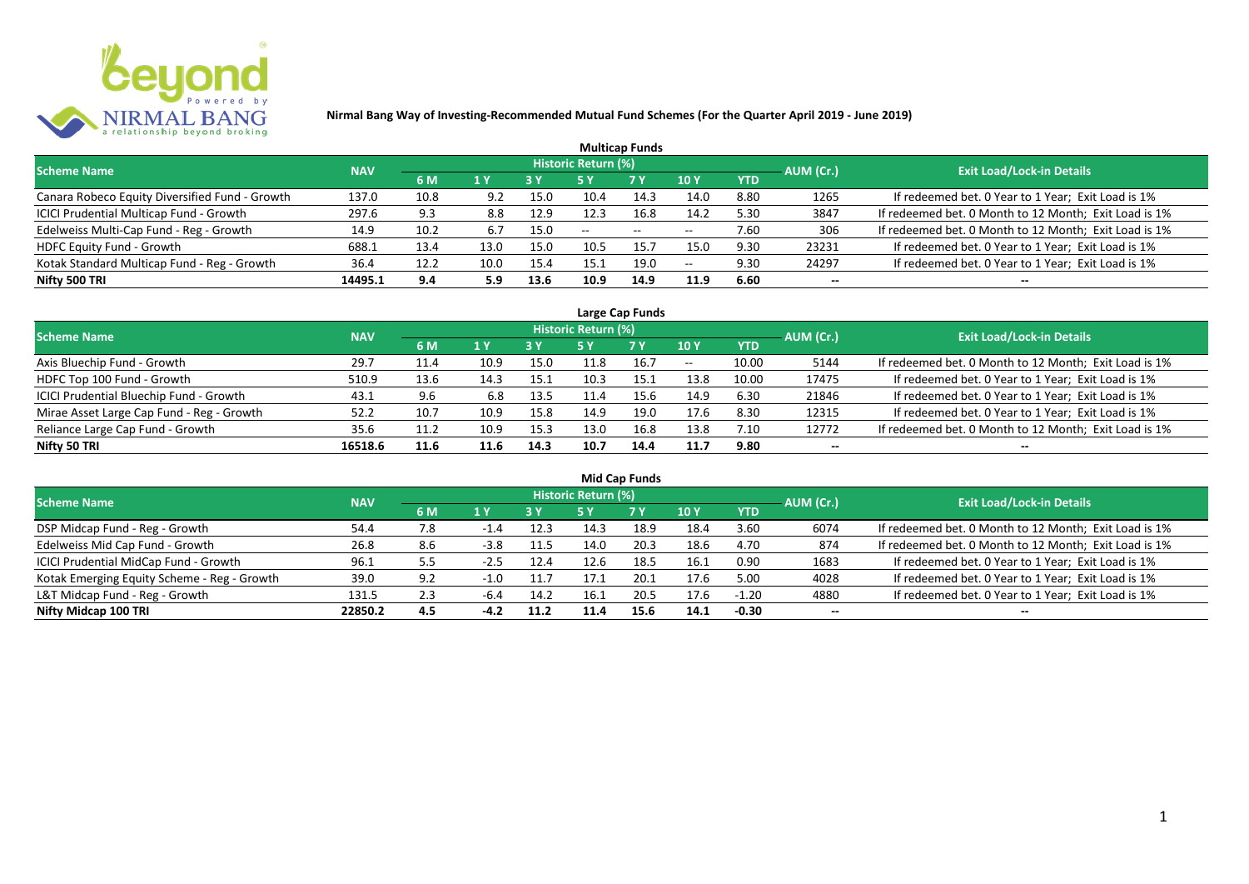

|                                                |            |      |      |            |                     | <b>Multicap Funds</b> |                          |            |           |                                                       |
|------------------------------------------------|------------|------|------|------------|---------------------|-----------------------|--------------------------|------------|-----------|-------------------------------------------------------|
| <b>Scheme Name</b>                             | <b>NAV</b> |      |      |            | Historic Return (%) |                       |                          |            | AUM (Cr.) | <b>Exit Load/Lock-in Details</b>                      |
|                                                |            | 6 M  | 1 Y  | <b>3 Y</b> |                     | <b>7Y</b>             | <b>10Y</b>               | <b>YTD</b> |           |                                                       |
| Canara Robeco Equity Diversified Fund - Growth | 137.0      | 10.8 | 9.2  | 15.0       | 10.4                | 14.3                  | 14.0                     | 8.80       | 1265      | If redeemed bet. 0 Year to 1 Year; Exit Load is 1%    |
| ICICI Prudential Multicap Fund - Growth        | 297.6      | 9.3  | 8.8  | 12.9       | 12.3                | 16.8                  | 14.2                     | 5.30       | 3847      | If redeemed bet. 0 Month to 12 Month; Exit Load is 1% |
| Edelweiss Multi-Cap Fund - Reg - Growth        | 14.9       | 10.2 | 6.7  | 15.0       | $- -$               | $- -$                 | $\overline{\phantom{m}}$ | 7.60       | 306       | If redeemed bet. 0 Month to 12 Month; Exit Load is 1% |
| <b>HDFC Equity Fund - Growth</b>               | 688.1      | 13.4 | 13.0 | 15.0       | 10.5                | 15.7                  | 15.0                     | 9.30       | 23231     | If redeemed bet. 0 Year to 1 Year; Exit Load is 1%    |
| Kotak Standard Multicap Fund - Reg - Growth    | 36.4       | 12.2 | 10.0 | 15.4       | 15.1                | 19.0                  | $\overline{\phantom{m}}$ | 9.30       | 24297     | If redeemed bet. 0 Year to 1 Year; Exit Load is 1%    |
| Nifty 500 TRI                                  | 14495.1    | 9.4  | 5.9  | 13.6       | 10.9                | 14.9                  | 11.9                     | 6.60       | $- -$     |                                                       |

| Large Cap Funds                           |            |      |                  |      |                     |           |            |            |           |                                                       |  |  |  |
|-------------------------------------------|------------|------|------------------|------|---------------------|-----------|------------|------------|-----------|-------------------------------------------------------|--|--|--|
| Scheme Name                               | <b>NAV</b> |      |                  |      | Historic Return (%) |           |            |            | AUM (Cr.) | <b>Exit Load/Lock-in Details</b>                      |  |  |  |
|                                           |            | 6 M  | $\overline{1}$ Y |      | 5 Y                 | <b>7Y</b> | <b>10Y</b> | <b>YTD</b> |           |                                                       |  |  |  |
| Axis Bluechip Fund - Growth               | 29.7       | 11.4 | 10.9             | 15.0 |                     | 16.7      | $- -$      | 10.00      | 5144      | If redeemed bet. 0 Month to 12 Month; Exit Load is 1% |  |  |  |
| HDFC Top 100 Fund - Growth                | 510.9      | 13.6 | 14.3             | 15.1 | 10.3                | 15.1      | 13.8       | 10.00      | 17475     | If redeemed bet. 0 Year to 1 Year; Exit Load is 1%    |  |  |  |
| ICICI Prudential Bluechip Fund - Growth   | 43.1       | 9.6  | 6.8              | 13.5 |                     | 15.6      | 14.9       | 6.30       | 21846     | If redeemed bet. 0 Year to 1 Year; Exit Load is 1%    |  |  |  |
| Mirae Asset Large Cap Fund - Reg - Growth | 52.2       | 10.7 | 10.9             | 15.8 | 14.9                | 19.0      | 17.6       | 8.30       | 12315     | If redeemed bet. 0 Year to 1 Year; Exit Load is 1%    |  |  |  |
| Reliance Large Cap Fund - Growth          | 35.6       | 11.2 | 10.9             | 15.3 | 13.0                | 16.8      | 13.8       | 7.10       | 12772     | If redeemed bet. 0 Month to 12 Month; Exit Load is 1% |  |  |  |
| Nifty 50 TRI                              | 16518.6    | 11.6 | 11.6             | 14.3 | 10.7                | 14.4      | 11.7       | 9.80       |           |                                                       |  |  |  |

| <b>Mid Cap Funds</b>                        |            |     |        |      |                            |      |      |            |                          |                                                       |  |  |  |
|---------------------------------------------|------------|-----|--------|------|----------------------------|------|------|------------|--------------------------|-------------------------------------------------------|--|--|--|
| <b>Scheme Name</b>                          | <b>NAV</b> |     |        |      | <b>Historic Return (%)</b> |      |      |            | AUM (Cr.)                | <b>Exit Load/Lock-in Details</b>                      |  |  |  |
|                                             |            | 6 M | 1 Y    | 3 Y  | 5 Y                        | 7 Y  | 10 Y | <b>YTD</b> |                          |                                                       |  |  |  |
| DSP Midcap Fund - Reg - Growth              | 54.4       | 7.8 | $-1.4$ | 12.3 | 14.3                       | 18.9 | 18.4 | 3.60       | 6074                     | If redeemed bet. 0 Month to 12 Month; Exit Load is 1% |  |  |  |
| Edelweiss Mid Cap Fund - Growth             | 26.8       | 8.6 | $-3.8$ | 11.5 | 14.0                       | 20.3 | 18.6 | 4.70       | 874                      | If redeemed bet. 0 Month to 12 Month; Exit Load is 1% |  |  |  |
| ICICI Prudential MidCap Fund - Growth       | 96.1       | 5.5 | $-2.5$ | 12.4 | 12.6                       | 18.5 | 16.1 | 0.90       | 1683                     | If redeemed bet. 0 Year to 1 Year; Exit Load is 1%    |  |  |  |
| Kotak Emerging Equity Scheme - Reg - Growth | 39.0       | 9.2 | $-1.0$ | 11.7 | 17.1                       | 20.1 | 17.6 | 5.00       | 4028                     | If redeemed bet. 0 Year to 1 Year; Exit Load is 1%    |  |  |  |
| L&T Midcap Fund - Reg - Growth              | 131.5      | 2.3 | -6.4   | 14.2 | 16.1                       | 20.5 | 17.6 | $-1.20$    | 4880                     | If redeemed bet. 0 Year to 1 Year; Exit Load is 1%    |  |  |  |
| Nifty Midcap 100 TRI                        | 22850.2    | 4.5 | $-4.2$ | 11.2 | 11.4                       | 15.6 | 14.1 | $-0.30$    | $\overline{\phantom{a}}$ | --                                                    |  |  |  |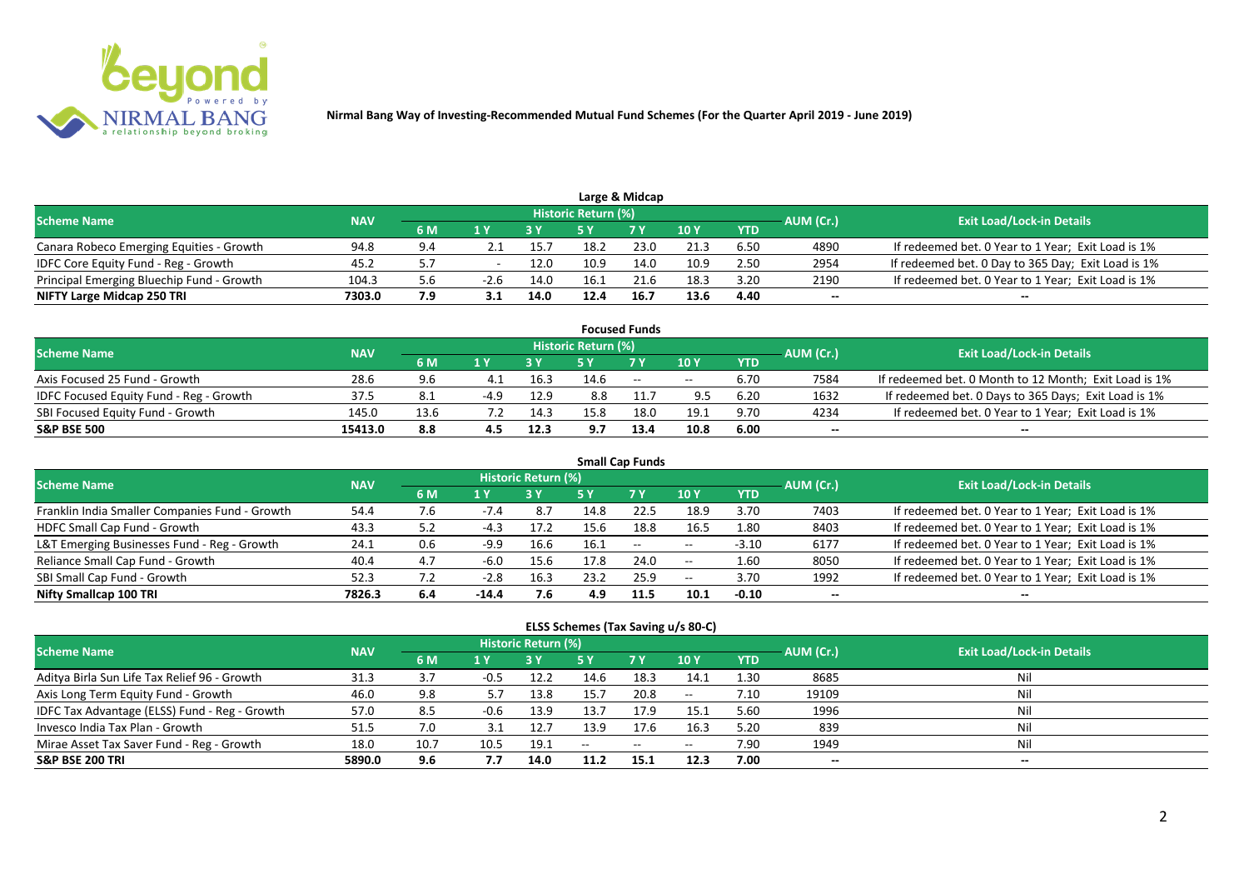

|                                           |            |     |      |      |                            | Large & Midcap |      |            |           |                                                    |
|-------------------------------------------|------------|-----|------|------|----------------------------|----------------|------|------------|-----------|----------------------------------------------------|
| <b>Scheme Name</b>                        | <b>NAV</b> |     |      |      | <b>Historic Return (%)</b> |                |      |            | AUM (Cr.) | <b>Exit Load/Lock-in Details</b>                   |
|                                           |            | 6 M |      |      |                            | <b>7 Y</b>     | 10 Y | <b>YTD</b> |           |                                                    |
| Canara Robeco Emerging Equities - Growth  | 94.8       | 9.4 |      | 15.7 | 18.2                       | 23.0           | 21.3 | 6.50       | 4890      | If redeemed bet. 0 Year to 1 Year; Exit Load is 1% |
| IDFC Core Equity Fund - Reg - Growth      | 45.2       |     |      | 12.0 | 10.9                       | 14.0           | 10.9 | 2.50       | 2954      | If redeemed bet. 0 Day to 365 Day; Exit Load is 1% |
| Principal Emerging Bluechip Fund - Growth | 104.3      | 5.b | -2.6 | 14.0 | 16.1                       | 21.6           | 18.3 | 3.20       | 2190      | If redeemed bet. 0 Year to 1 Year; Exit Load is 1% |
| NIFTY Large Midcap 250 TRI                | 7303.0     | 7.9 |      | 14.0 | 12.4                       | 16.7           | 13.6 | 4.40       | --        | $- -$                                              |

|                                                |            |      |        |      |                     | <b>Focused Funds</b> |            |            |           |                                                       |
|------------------------------------------------|------------|------|--------|------|---------------------|----------------------|------------|------------|-----------|-------------------------------------------------------|
| <b>Scheme Name</b>                             | <b>NAV</b> |      |        |      | Historic Return (%) |                      |            |            | AUM (Cr.) | <b>Exit Load/Lock-in Details</b>                      |
|                                                |            | 6 M  | 1 V    |      |                     | 7 Y                  | 10Y        | <b>YTD</b> |           |                                                       |
| Axis Focused 25 Fund - Growth                  | 28.6       | 9.6  | 4.1    | 16.3 | 14.6                | $\sim$               | $\sim$ $-$ | 6.70       | 7584      | If redeemed bet. 0 Month to 12 Month; Exit Load is 1% |
| <b>IDFC Focused Equity Fund - Reg - Growth</b> | 37.5       | 8.1  | $-4.9$ | 12.9 | 8.8                 |                      | 9.5        | 6.20       | 1632      | If redeemed bet. 0 Days to 365 Days; Exit Load is 1%  |
| SBI Focused Equity Fund - Growth               | 145.0      | 13.6 |        | 14.3 | 15.8                | 18.0                 | 19.1       | 9.70       | 4234      | If redeemed bet. 0 Year to 1 Year; Exit Load is 1%    |
| <b>S&amp;P BSE 500</b>                         | 15413.0    | 8.8  |        | 12.3 | 9.7                 | 13.4                 | 10.8       | 6.00       | --        | --                                                    |

| <b>Small Cap Funds</b>                         |            |     |        |                     |      |                          |                          |            |           |                                                    |  |  |  |
|------------------------------------------------|------------|-----|--------|---------------------|------|--------------------------|--------------------------|------------|-----------|----------------------------------------------------|--|--|--|
| <b>Scheme Name</b>                             | <b>NAV</b> |     |        | Historic Return (%) |      |                          |                          |            | AUM (Cr.) | <b>Exit Load/Lock-in Details</b>                   |  |  |  |
|                                                |            | 6 M | 1 Y    |                     | 5 Y  | <b>7Y</b>                | 10Y                      | <b>YTD</b> |           |                                                    |  |  |  |
| Franklin India Smaller Companies Fund - Growth | 54.4       | 7.6 | $-7.4$ | 8.7                 | 14.8 | 22.5                     | 18.9                     | 3.70       | 7403      | If redeemed bet. 0 Year to 1 Year; Exit Load is 1% |  |  |  |
| HDFC Small Cap Fund - Growth                   | 43.3       | ς η | $-4.3$ | 17.2                | 15.6 | 18.8                     | 16.5                     | 1.80       | 8403      | If redeemed bet. 0 Year to 1 Year; Exit Load is 1% |  |  |  |
| L&T Emerging Businesses Fund - Reg - Growth    | 24.1       | 0.6 | $-9.9$ | 16.6                | 16.1 | $\overline{\phantom{a}}$ | $\overline{\phantom{a}}$ | $-3.10$    | 6177      | If redeemed bet. 0 Year to 1 Year; Exit Load is 1% |  |  |  |
| Reliance Small Cap Fund - Growth               | 40.4       | 4.7 | -6.0   | 15.6                | 17.8 | 24.0                     | $\sim$ $-$               | 1.60       | 8050      | If redeemed bet. 0 Year to 1 Year; Exit Load is 1% |  |  |  |
| SBI Small Cap Fund - Growth                    | 52.3       |     | $-2.8$ | 16.3                | 23.2 | 25.9                     | $- -$                    | 3.70       | 1992      | If redeemed bet. 0 Year to 1 Year; Exit Load is 1% |  |  |  |
| Nifty Smallcap 100 TRI                         | 7826.3     | 6.4 | -14.4  | 7.6                 | 4.9  | 11.5                     | 10.1                     | $-0.10$    | $- -$     | --                                                 |  |  |  |

#### **ELSS Schemes (Tax Saving u/s 80-C)**

| Scheme Name                                   | <b>NAV</b> |      |        | <b>Historic Return (%)</b> |       |                                                |                 | AUM (Cr.)  | <b>Exit Load/Lock-in Details</b> |       |
|-----------------------------------------------|------------|------|--------|----------------------------|-------|------------------------------------------------|-----------------|------------|----------------------------------|-------|
|                                               |            | 6 M  | 1 Y    |                            | 5 Y   | <b>7 Y</b>                                     | 10 <sub>Y</sub> | <b>YTD</b> |                                  |       |
| Aditya Birla Sun Life Tax Relief 96 - Growth  | 31.3       |      | $-0.5$ | 12.2                       | 14.6  | 18.3                                           | 14.1            | 1.30       | 8685                             | Nil   |
| Axis Long Term Equity Fund - Growth           | 46.0       | 9.8  | 5.7    | 13.8                       | 15.7  | 20.8                                           | $- -$           | 7.10       | 19109                            | Nil   |
| IDFC Tax Advantage (ELSS) Fund - Reg - Growth | 57.0       | 8.5  | $-0.6$ | 13.9                       | 13.7  | 17.9                                           | 15.1            | 5.60       | 1996                             | Nil   |
| Invesco India Tax Plan - Growth               | 51.5       | 7.0  |        | 12.7                       | 13.9  | 17.6                                           | 16.3            | 5.20       | 839                              | Nil   |
| Mirae Asset Tax Saver Fund - Reg - Growth     | 18.0       | 10.7 | 10.5   | 19.1                       | $- -$ | $\hspace{0.1mm}-\hspace{0.1mm}-\hspace{0.1mm}$ | $- -$           | 7.90       | 1949                             | Nil   |
| <b>S&amp;P BSE 200 TRI</b>                    | 5890.0     | 9.6  | 7.7    | 14.0                       | 11.2  | 15.1                                           | 12.3            | 7.00       | $\overline{\phantom{a}}$         | $- -$ |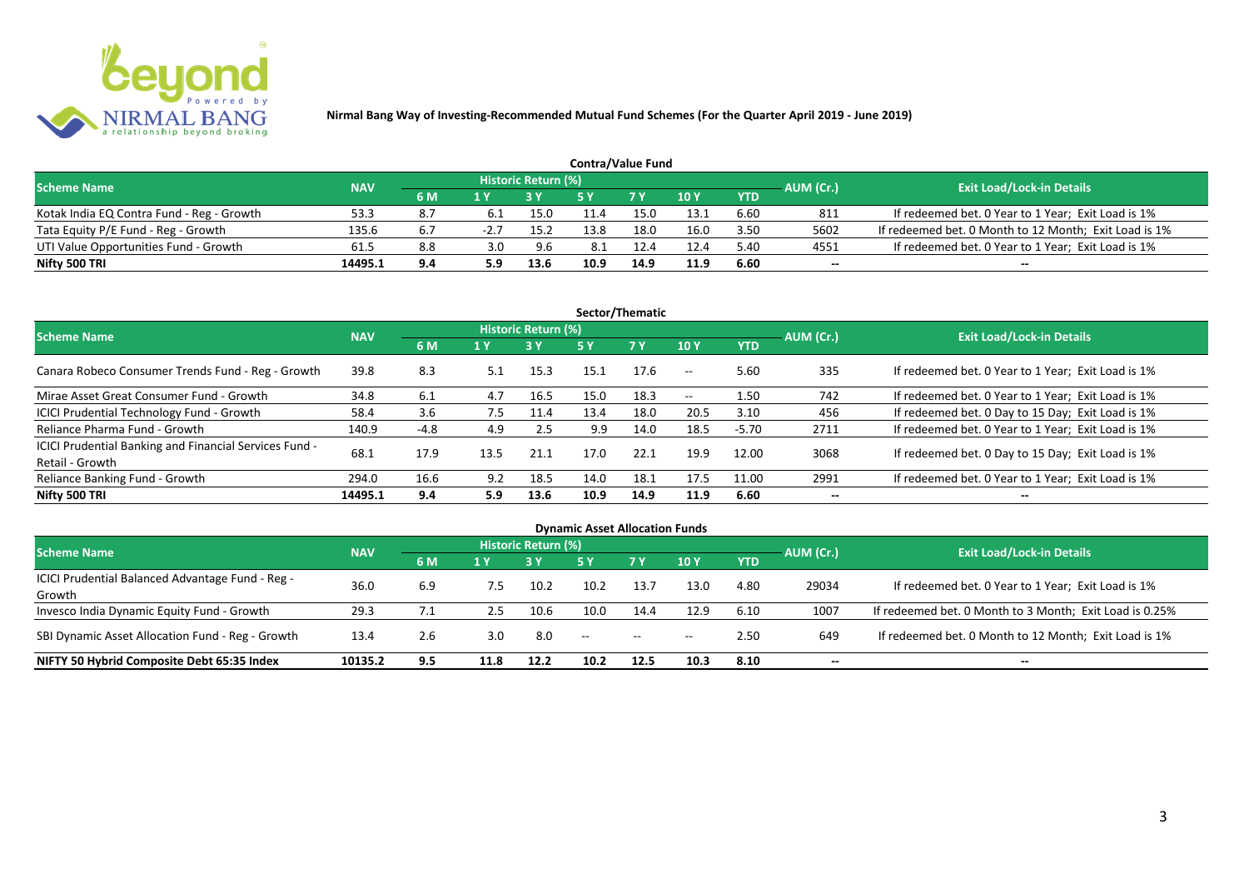

| <b>Contra/Value Fund</b>                  |            |     |                         |                     |      |            |      |            |           |                                                       |  |  |  |
|-------------------------------------------|------------|-----|-------------------------|---------------------|------|------------|------|------------|-----------|-------------------------------------------------------|--|--|--|
| <b>Scheme Name</b>                        | <b>NAV</b> |     |                         | Historic Return (%) |      |            |      |            | AUM (Cr.) | <b>Exit Load/Lock-in Details</b>                      |  |  |  |
|                                           |            | 6 M | $\mathbf{1} \mathbf{v}$ |                     |      | <b>7 Y</b> | 10Y  | <b>YTD</b> |           |                                                       |  |  |  |
| Kotak India EQ Contra Fund - Reg - Growth | 53.3       |     |                         | 15.0                |      | 15.0       | 13.1 | 6.60       | 811       | If redeemed bet. 0 Year to 1 Year; Exit Load is 1%    |  |  |  |
| Tata Equity P/E Fund - Reg - Growth       | 135.6      |     |                         | 15.2                | 13.8 | 18.0       | 16.0 | 3.50       | 5602      | If redeemed bet. 0 Month to 12 Month; Exit Load is 1% |  |  |  |
| UTI Value Opportunities Fund - Growth     | 61.5       | 8.8 | 3.0                     | 9.6                 | 8.1  |            | 12.4 | 5.40       | 4551      | If redeemed bet. 0 Year to 1 Year; Exit Load is 1%    |  |  |  |
| Nifty 500 TRI                             | 14495.1    | 9.4 |                         | 13.6                | 10.9 | 14.9       | 11.9 | 6.60       | --        | $- -$                                                 |  |  |  |

| Sector/Thematic                                                           |            |        |      |                     |      |           |                          |            |           |                                                    |  |  |  |
|---------------------------------------------------------------------------|------------|--------|------|---------------------|------|-----------|--------------------------|------------|-----------|----------------------------------------------------|--|--|--|
| <b>Scheme Name</b>                                                        | <b>NAV</b> |        |      | Historic Return (%) |      |           |                          |            | AUM (Cr.) | <b>Exit Load/Lock-in Details</b>                   |  |  |  |
|                                                                           |            | 6 M    | 1 Y  | <b>3Y</b>           | 5 Y  | <b>7Y</b> | <b>10Y</b>               | <b>YTD</b> |           |                                                    |  |  |  |
| Canara Robeco Consumer Trends Fund - Reg - Growth                         | 39.8       | 8.3    | 5.1  | 15.3                | 15.1 | 17.6      | $-$                      | 5.60       | 335       | If redeemed bet. 0 Year to 1 Year; Exit Load is 1% |  |  |  |
| Mirae Asset Great Consumer Fund - Growth                                  | 34.8       | 6.1    | 4.7  | 16.5                | 15.0 | 18.3      | $\overline{\phantom{a}}$ | 1.50       | 742       | If redeemed bet. 0 Year to 1 Year; Exit Load is 1% |  |  |  |
| <b>ICICI Prudential Technology Fund - Growth</b>                          | 58.4       | 3.6    | 7.5  | 11.4                | 13.4 | 18.0      | 20.5                     | 3.10       | 456       | If redeemed bet. 0 Day to 15 Day; Exit Load is 1%  |  |  |  |
| Reliance Pharma Fund - Growth                                             | 140.9      | $-4.8$ | 4.9  | 2.5                 | 9.9  | 14.0      | 18.5                     | $-5.70$    | 2711      | If redeemed bet. 0 Year to 1 Year; Exit Load is 1% |  |  |  |
| ICICI Prudential Banking and Financial Services Fund -<br>Retail - Growth | 68.1       | 17.9   | 13.5 | 21.1                | 17.0 | 22.1      | 19.9                     | 12.00      | 3068      | If redeemed bet. 0 Day to 15 Day; Exit Load is 1%  |  |  |  |
| Reliance Banking Fund - Growth                                            | 294.0      | 16.6   | 9.2  | 18.5                | 14.0 | 18.1      | 17.5                     | 11.00      | 2991      | If redeemed bet. 0 Year to 1 Year; Exit Load is 1% |  |  |  |
| Nifty 500 TRI                                                             | 14495.1    | 9.4    | 5.9  | 13.6                | 10.9 | 14.9      | 11.9                     | 6.60       | $- -$     | $- -$                                              |  |  |  |

| <b>Dynamic Asset Allocation Funds</b>            |            |     |      |                            |      |           |            |            |           |                                                         |  |  |  |
|--------------------------------------------------|------------|-----|------|----------------------------|------|-----------|------------|------------|-----------|---------------------------------------------------------|--|--|--|
| <b>Scheme Name</b>                               | <b>NAV</b> |     |      | <b>Historic Return (%)</b> |      |           |            |            |           | <b>Exit Load/Lock-in Details</b>                        |  |  |  |
|                                                  |            | 6 M | 1 Y  |                            | 5 Y  | <b>7Y</b> | <b>10Y</b> | <b>YTD</b> | AUM (Cr.) |                                                         |  |  |  |
| ICICI Prudential Balanced Advantage Fund - Reg - |            |     |      |                            |      |           |            |            |           |                                                         |  |  |  |
| Growth                                           | 36.0       | 6.9 | 7.5  | 10.2                       | 10.2 | 13.7      | 13.0       | 4.80       | 29034     | If redeemed bet. 0 Year to 1 Year; Exit Load is 1%      |  |  |  |
| Invesco India Dynamic Equity Fund - Growth       | 29.3       |     | 2.5  | 10.6                       | 10.0 | 14.4      | 12.9       | 6.10       | 1007      | If redeemed bet. 0 Month to 3 Month; Exit Load is 0.25% |  |  |  |
| SBI Dynamic Asset Allocation Fund - Reg - Growth | 13.4       | 2.6 | 3.0  | 8.0                        | $-$  | $- -$     | $- -$      | 2.50       | 649       | If redeemed bet. 0 Month to 12 Month; Exit Load is 1%   |  |  |  |
| NIFTY 50 Hybrid Composite Debt 65:35 Index       | 10135.2    | 9.5 | 11.8 | 12.2                       | 10.2 | 12.5      | 10.3       | 8.10       | --        | $- -$                                                   |  |  |  |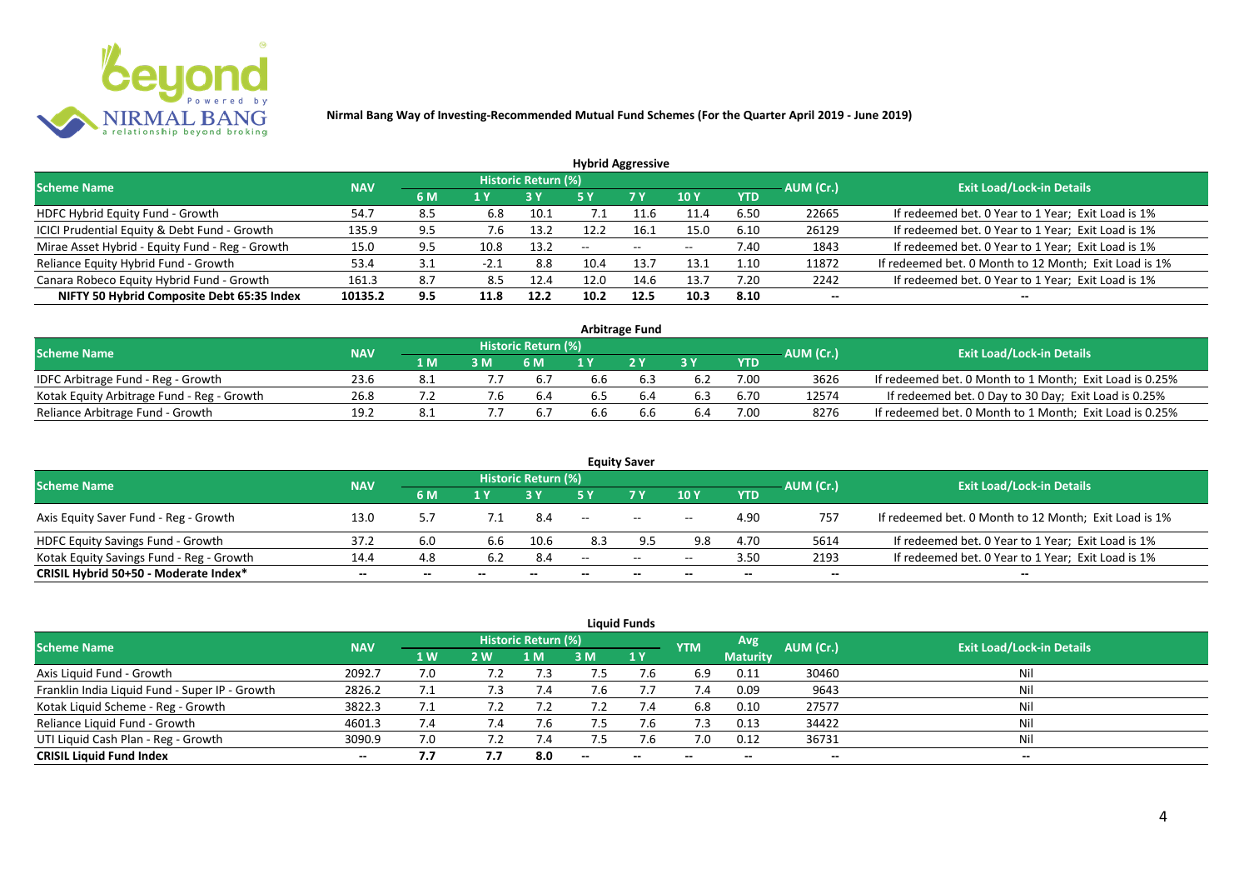

| <b>Hybrid Aggressive</b>                        |            |     |        |                     |       |               |            |            |           |                                                       |  |  |  |
|-------------------------------------------------|------------|-----|--------|---------------------|-------|---------------|------------|------------|-----------|-------------------------------------------------------|--|--|--|
| <b>Scheme Name</b>                              | <b>NAV</b> |     |        | Historic Return (%) |       |               |            |            | AUM (Cr.) | <b>Exit Load/Lock-in Details</b>                      |  |  |  |
|                                                 |            | 6 M | 1 Y    |                     | 5 Y   | 7 Y           | <b>10Y</b> | <b>YTD</b> |           |                                                       |  |  |  |
| HDFC Hybrid Equity Fund - Growth                | 54.7       | 8.5 | 6.8    | 10.1                |       | $\pm 1.6$     | 11.4       | 6.50       | 22665     | If redeemed bet. 0 Year to 1 Year; Exit Load is 1%    |  |  |  |
| ICICI Prudential Equity & Debt Fund - Growth    | 135.9      | 9.5 | 7.6    | 13.2                | 12.2  | 16.1          | 15.0       | 6.10       | 26129     | If redeemed bet. 0 Year to 1 Year; Exit Load is 1%    |  |  |  |
| Mirae Asset Hybrid - Equity Fund - Reg - Growth | 15.0       | 9.5 | 10.8   | 13.2                | $- -$ | $\sim$ $\sim$ | $- -$      | 7.40       | 1843      | If redeemed bet. 0 Year to 1 Year; Exit Load is 1%    |  |  |  |
| Reliance Equity Hybrid Fund - Growth            | 53.4       | 3.1 | $-2.1$ | 8.8                 | 10.4  | 13.7          | 13.1       | 1.10       | 11872     | If redeemed bet. 0 Month to 12 Month; Exit Load is 1% |  |  |  |
| Canara Robeco Equity Hybrid Fund - Growth       | 161.3      | 8.7 | 8.5    | 12.4                | 12.0  | 14.6          | 13.7       | 7.20       | 2242      | If redeemed bet. 0 Year to 1 Year; Exit Load is 1%    |  |  |  |
| NIFTY 50 Hybrid Composite Debt 65:35 Index      | 10135.2    | 9.5 | 11.8   | 12.2                | 10.2  | 12.5          | 10.3       | 8.10       | $- -$     |                                                       |  |  |  |
|                                                 |            |     |        |                     |       |               |            |            |           |                                                       |  |  |  |

| <b>Arbitrage Fund</b>                      |            |      |    |                            |     |     |     |            |           |                                                         |  |  |  |
|--------------------------------------------|------------|------|----|----------------------------|-----|-----|-----|------------|-----------|---------------------------------------------------------|--|--|--|
| <b>Scheme Name</b>                         | <b>NAV</b> |      |    | <b>Historic Return (%)</b> |     |     |     |            | AUM (Cr.) | <b>Exit Load/Lock-in Details</b>                        |  |  |  |
|                                            |            | 1 M. |    | 6 M                        |     | 2V  |     | <b>YTD</b> |           |                                                         |  |  |  |
| IDFC Arbitrage Fund - Reg - Growth         | 23.6       |      |    | 6.7                        | 6.6 |     | 6.2 | 7.00       | 3626      | If redeemed bet. 0 Month to 1 Month; Exit Load is 0.25% |  |  |  |
| Kotak Equity Arbitrage Fund - Reg - Growth | 26.8       |      | .b | 6.4                        | b.5 | b.4 | 6.3 | 6.70       | 12574     | If redeemed bet. 0 Day to 30 Day; Exit Load is 0.25%    |  |  |  |
| Reliance Arbitrage Fund - Growth           | 19.2       | 8.1  |    |                            | 5.6 |     | 6.4 | 7.00       | 8276      | If redeemed bet. 0 Month to 1 Month; Exit Load is 0.25% |  |  |  |

|                                          |            |       |       |                            |                          | <b>Equity Saver</b> |                          |            |                          |                                                       |
|------------------------------------------|------------|-------|-------|----------------------------|--------------------------|---------------------|--------------------------|------------|--------------------------|-------------------------------------------------------|
| <b>Scheme Name</b>                       | <b>NAV</b> |       |       | <b>Historic Return (%)</b> |                          |                     |                          |            | AUM (Cr.)                | <b>Exit Load/Lock-in Details</b>                      |
|                                          |            | 6 M   |       |                            |                          | <b>7Y</b>           | 10Y                      | <b>YTD</b> |                          |                                                       |
| Axis Equity Saver Fund - Reg - Growth    | 13.0       |       |       | 8.4                        | $\hspace{0.05cm} \ldots$ | $\sim$              | $ -$                     | 4.90       | 757                      | If redeemed bet. 0 Month to 12 Month; Exit Load is 1% |
| HDFC Equity Savings Fund - Growth        | 37.2       | 6.0   | 6.6   | 10.6                       | 8.3                      |                     | 9.8                      | 4.70       | 5614                     | If redeemed bet. 0 Year to 1 Year; Exit Load is 1%    |
| Kotak Equity Savings Fund - Reg - Growth | 14.4       | 4.8   | 6.2   | 8.4                        | --                       | $\sim$ $\sim$       | $- -$                    | 3.50       | 2193                     | If redeemed bet. 0 Year to 1 Year; Exit Load is 1%    |
| CRISIL Hybrid 50+50 - Moderate Index*    | $- -$      | $- -$ | $- -$ | $- -$                      |                          | $- -$               | $\overline{\phantom{a}}$ | $- -$      | $\overline{\phantom{a}}$ | $- -$                                                 |

| <b>Liquid Funds</b>                            |            |     |            |                            |     |             |            |                 |           |                                  |  |  |  |
|------------------------------------------------|------------|-----|------------|----------------------------|-----|-------------|------------|-----------------|-----------|----------------------------------|--|--|--|
| Scheme Name                                    | <b>NAV</b> |     |            | <b>Historic Return (%)</b> |     |             | <b>YTM</b> | Avg             | AUM (Cr.) | <b>Exit Load/Lock-in Details</b> |  |  |  |
|                                                |            | 1W  | <b>2 W</b> | 1 M'                       | 3 M | <b>71 Y</b> |            | <b>Maturity</b> |           |                                  |  |  |  |
| Axis Liquid Fund - Growth                      | 2092.7     | 7.0 |            |                            |     | 7.b         | 6.9        | 0.11            | 30460     | Nil                              |  |  |  |
| Franklin India Liquid Fund - Super IP - Growth | 2826.2     | 7.1 |            |                            |     |             | 7.4        | 0.09            | 9643      | Nil                              |  |  |  |
| Kotak Liquid Scheme - Reg - Growth             | 3822.3     | 7.1 |            |                            | 7.2 | 7.4         | 6.8        | 0.10            | 27577     | Nil                              |  |  |  |
| Reliance Liquid Fund - Growth                  | 4601.3     | 7.4 | 7.4        | 7.b                        |     | 7.6         | 7.3        | 0.13            | 34422     | Nil                              |  |  |  |
| UTI Liquid Cash Plan - Reg - Growth            | 3090.9     | 7.0 |            |                            |     |             | 7.0        | 0.12            | 36731     | Nil                              |  |  |  |
| <b>CRISIL Liquid Fund Index</b>                | $- -$      | 7.7 | 7.7        | 8.0                        | $-$ | $-$         | $- -$      | $- -$           | $- -$     | $\sim$                           |  |  |  |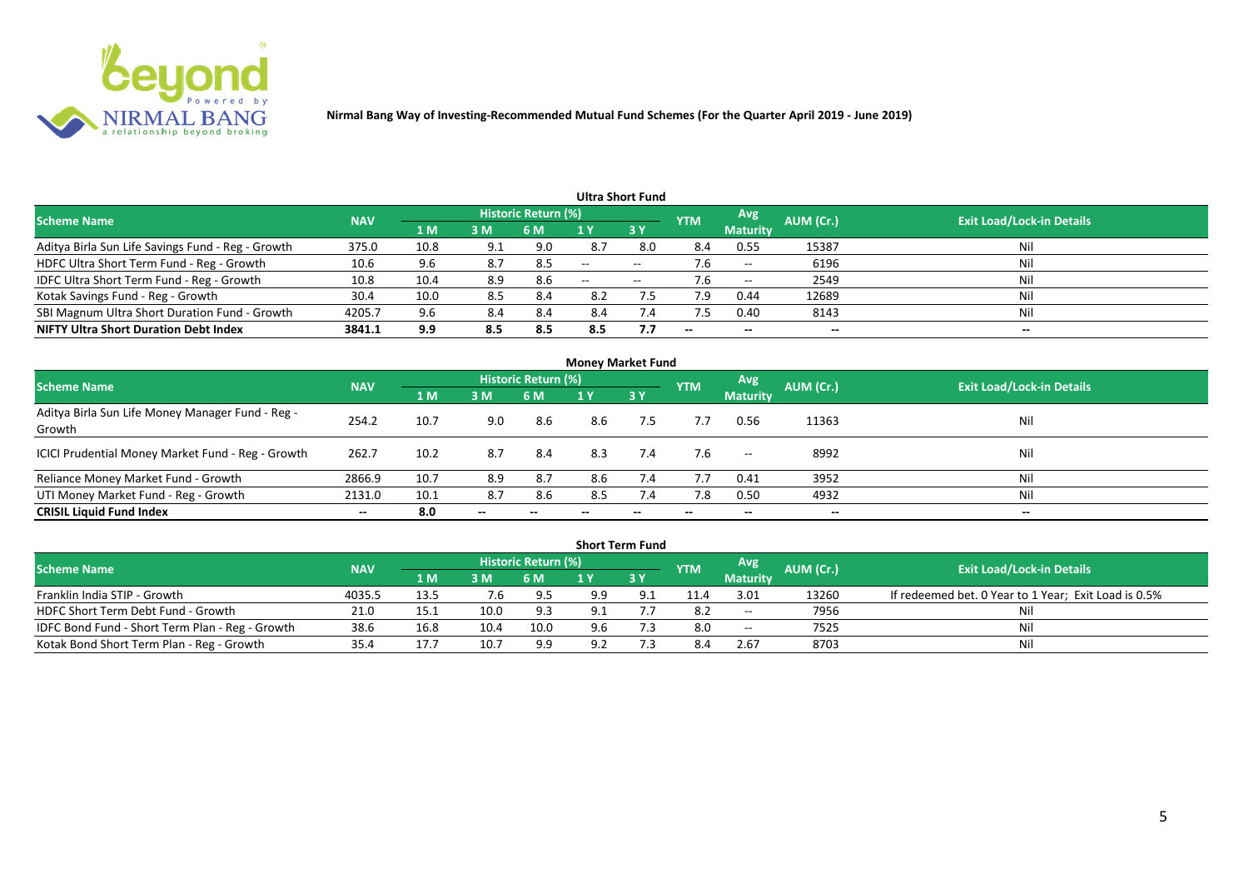

|                                                   |            |                |     |                            |                          | <b>Ultra Short Fund</b> |            |                          |           |                                  |
|---------------------------------------------------|------------|----------------|-----|----------------------------|--------------------------|-------------------------|------------|--------------------------|-----------|----------------------------------|
| <b>Scheme Name</b>                                | <b>NAV</b> |                |     | <b>Historic Return (%)</b> |                          |                         | <b>YTM</b> | Avg                      | AUM (Cr.) | <b>Exit Load/Lock-in Details</b> |
|                                                   |            | 1 <sub>M</sub> | 3 M | 6 M                        |                          | 3Y                      |            | <b>Maturity</b>          |           |                                  |
| Aditya Birla Sun Life Savings Fund - Reg - Growth | 375.0      | 10.8           | 9.1 | 9.0                        | 8.7                      | 8.0                     | 8.4        | 0.55                     | 15387     | Nil                              |
| HDFC Ultra Short Term Fund - Reg - Growth         | 10.6       | 9.6            | 8.7 | 8.5                        | $\overline{\phantom{a}}$ | $- -$                   |            | $\overline{\phantom{a}}$ | 6196      | Nil                              |
| IDFC Ultra Short Term Fund - Reg - Growth         | 10.8       | 10.4           | 8.9 | 8.6                        | $\overline{\phantom{a}}$ | $- -$                   |            | $-$                      | 2549      | Nil                              |
| Kotak Savings Fund - Reg - Growth                 | 30.4       | 10.0           | 8.5 | 8.4                        | 8.2                      | $7.5^{\circ}$           | 7.9        | 0.44                     | 12689     | Nil                              |
| SBI Magnum Ultra Short Duration Fund - Growth     | 4205.7     | 9.6            | 8.4 | 8.4                        | 8.4                      | 7.4                     | 7.5        | 0.40                     | 8143      | Nil                              |
| <b>NIFTY Ultra Short Duration Debt Index</b>      | 3841.1     | 9.9            | 8.5 | 8.5                        | 8.5                      | 7.7                     | $- -$      | $- -$                    | --        | $- -$                            |

| <b>Money Market Fund</b>                                   |            |      |       |                     |     |     |            |                 |           |                                  |  |  |  |
|------------------------------------------------------------|------------|------|-------|---------------------|-----|-----|------------|-----------------|-----------|----------------------------------|--|--|--|
| <b>Scheme Name</b>                                         | <b>NAV</b> |      |       | Historic Return (%) |     |     | <b>YTM</b> | Avg             | AUM (Cr.) | <b>Exit Load/Lock-in Details</b> |  |  |  |
|                                                            |            | 1 M  | 3M    | 6 M                 | 1 Y | 3Y  |            | <b>Maturity</b> |           |                                  |  |  |  |
| Aditya Birla Sun Life Money Manager Fund - Reg -<br>Growth | 254.2      | 10.7 | 9.0   | 8.6                 | 8.6 | 7.5 | 7.7        | 0.56            | 11363     | Nil                              |  |  |  |
| ICICI Prudential Money Market Fund - Reg - Growth          | 262.7      | 10.2 | 8.7   | -8.4                | 8.3 | 7.4 | 7.6        | $- -$           | 8992      | Nil                              |  |  |  |
| Reliance Money Market Fund - Growth                        | 2866.9     | 10.7 | 8.9   | 8.7                 | 8.6 | 7.4 | 7.7        | 0.41            | 3952      | Nil                              |  |  |  |
| UTI Money Market Fund - Reg - Growth                       | 2131.0     | 10.1 | 8.7   | 8.6                 | 8.5 | 7.4 | 7.8        | 0.50            | 4932      | Nil                              |  |  |  |
| <b>CRISIL Liquid Fund Index</b>                            | $- -$      | 8.0  | $- -$ |                     |     |     |            | --              | $- -$     | $- -$                            |  |  |  |

|                                                 |            |              |      |                            |     | <b>Short Term Fund</b> |            |                          |           |                                                      |
|-------------------------------------------------|------------|--------------|------|----------------------------|-----|------------------------|------------|--------------------------|-----------|------------------------------------------------------|
| <b>Scheme Name</b>                              | <b>NAV</b> |              |      | <b>Historic Return (%)</b> |     |                        | <b>YTM</b> | <b>Avg</b>               | AUM (Cr.) | <b>Exit Load/Lock-in Details</b>                     |
|                                                 |            | $\Lambda$ M/ | 3M   | <b>6 M</b>                 |     | <b>3Y</b>              |            | <b>Maturity</b>          |           |                                                      |
| Franklin India STIP - Growth                    | 4035.5     | 13.5         | 7.6  | 9.5                        | 9.9 |                        | 11.4       | 3.01                     | 13260     | If redeemed bet. 0 Year to 1 Year; Exit Load is 0.5% |
| HDFC Short Term Debt Fund - Growth              | 21.0       | 15.1         | 10.0 | 9.3                        | 9.1 |                        | -8.2       | $\overline{\phantom{a}}$ | 7956      | Nil                                                  |
| IDFC Bond Fund - Short Term Plan - Reg - Growth | 38.6       | 16.8         | 10.4 | 10.0                       | 9.6 | 7.3                    | 8.0        | $\sim$                   | 7525      | Nil                                                  |
| Kotak Bond Short Term Plan - Reg - Growth       | 35.4       |              | 10.7 | 9.9                        | ۹J  |                        |            | 2.67                     | 8703      | Nil                                                  |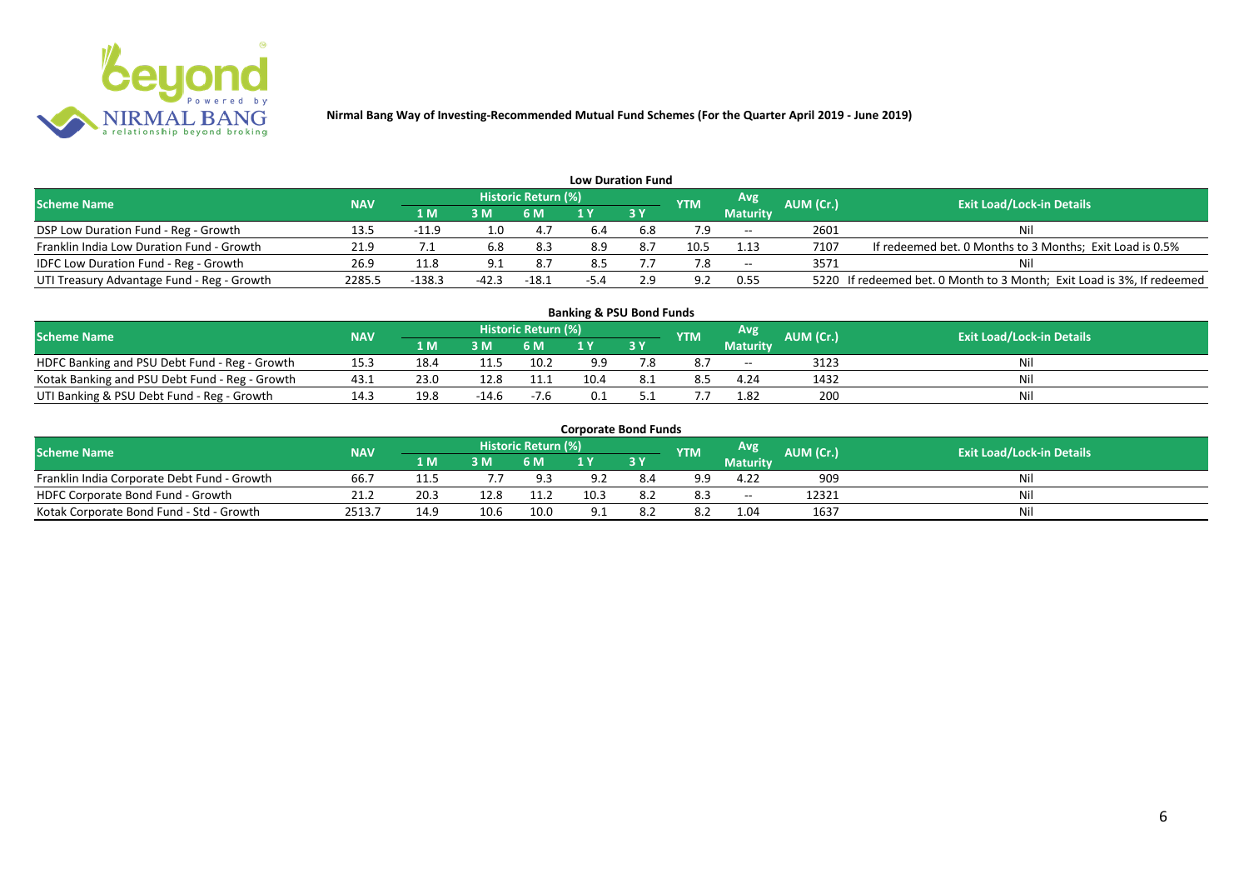

| <b>Low Duration Fund</b>                     |            |          |                |                     |        |      |            |                 |           |                                                                        |  |  |  |  |
|----------------------------------------------|------------|----------|----------------|---------------------|--------|------|------------|-----------------|-----------|------------------------------------------------------------------------|--|--|--|--|
| <b>Scheme Name</b>                           | <b>NAV</b> |          |                | Historic Return (%) |        |      | <b>YTM</b> | Avg             | AUM (Cr.) | <b>Exit Load/Lock-in Details</b>                                       |  |  |  |  |
|                                              |            | 1 M      | 3 <sub>N</sub> | 6 M                 |        | 73 Y |            | <b>Maturity</b> |           |                                                                        |  |  |  |  |
| DSP Low Duration Fund - Reg - Growth         | 13.5       | $-11.9$  | 0.1            | 4.7                 | 6.4    | 6.8  |            | $- -$           | 2601      | Nil                                                                    |  |  |  |  |
| Franklin India Low Duration Fund - Growth    | 21.9       |          | 6.8            | 8.3                 | 8.9    |      | 10.5       | 1.13            | 7107      | If redeemed bet. 0 Months to 3 Months; Exit Load is 0.5%               |  |  |  |  |
| <b>IDFC Low Duration Fund - Reg - Growth</b> | 26.9       | 11.8     |                | 8.7                 | 8.5    |      |            | $- -$           | 3571      | Nil                                                                    |  |  |  |  |
| UTI Treasury Advantage Fund - Reg - Growth   | 2285.5     | $-138.3$ | $-42.3$        | $-18.1$             | $-5.4$ |      | 9.2        | 0.55            |           | 5220 If redeemed bet. 0 Month to 3 Month; Exit Load is 3%, If redeemed |  |  |  |  |

| <b>Banking &amp; PSU Bond Funds</b>            |            |      |         |                     |      |    |            |                 |           |                                  |  |  |  |  |
|------------------------------------------------|------------|------|---------|---------------------|------|----|------------|-----------------|-----------|----------------------------------|--|--|--|--|
| <b>Scheme Name</b>                             | <b>NAV</b> |      |         | Historic Return (%) |      |    | <b>YTM</b> | Avg             | AUM (Cr.) | <b>Exit Load/Lock-in Details</b> |  |  |  |  |
|                                                |            | 1 M  | 3M      | 6 M                 |      | 3Y |            | <b>Maturity</b> |           |                                  |  |  |  |  |
| HDFC Banking and PSU Debt Fund - Reg - Growth  | 15.3       | 18.4 | 11.5    | 10.2                |      |    | 8.7        | $- -$           | 3123      |                                  |  |  |  |  |
| Kotak Banking and PSU Debt Fund - Reg - Growth | 43.1       | 23.0 | 12.8    | 11.1                | 10.4 |    | 8.5        | 4.24            | 1432      |                                  |  |  |  |  |
| UTI Banking & PSU Debt Fund - Reg - Growth     |            | 19.8 | $-14.6$ | $-7.6$              |      |    |            | 1.82            | 200       | Nil                              |  |  |  |  |

|                                             |            |      |      |                     | <b>Corporate Bond Funds</b> |      |            |                 |                  |                                  |
|---------------------------------------------|------------|------|------|---------------------|-----------------------------|------|------------|-----------------|------------------|----------------------------------|
| <b>Scheme Name</b>                          | <b>NAV</b> |      |      | Historic Return (%) |                             |      | <b>YTM</b> | Avg             | <b>AUM (Cr.)</b> | <b>Exit Load/Lock-in Details</b> |
|                                             |            | 1 M  | 3 M  | 6 M                 |                             | 73 Y |            | <b>Maturity</b> |                  |                                  |
| Franklin India Corporate Debt Fund - Growth | 66.7       | 11.5 |      | 9.3                 | 9.2                         | 8.4  | 9.9        | 4.22            | 909              | Nil                              |
| HDFC Corporate Bond Fund - Growth           | 21.2       | 20.3 | 12.8 | 11.2                | 10.3                        | 8.2  | 8.3        | $- -$           | 12321            | Nil                              |
| Kotak Corporate Bond Fund - Std - Growth    | 2513.7     | 14.9 | 10.6 | 10.0                |                             |      | 8.2        | 1.04            | 1637             | Nil                              |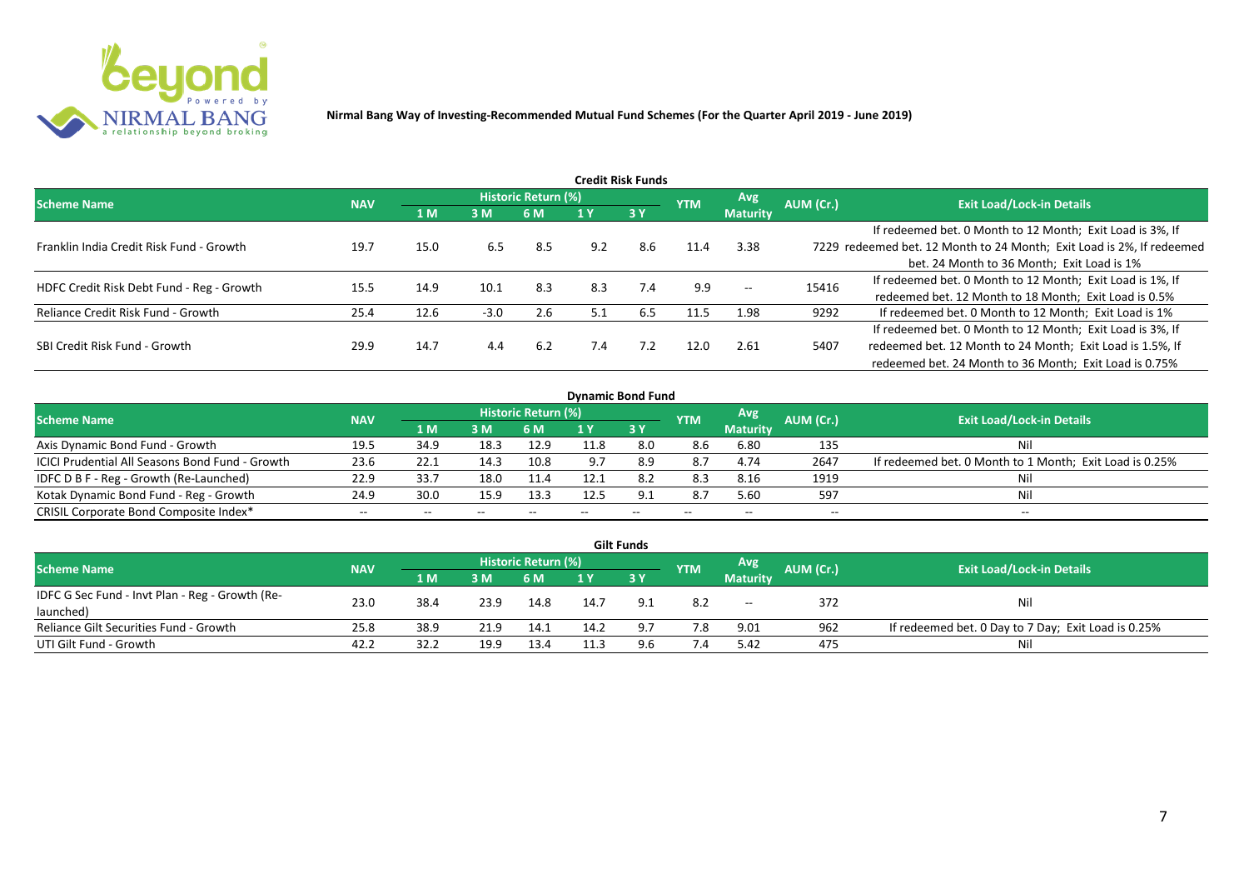

| Credit Risk Funds                         |            |      |        |                            |     |           |            |                          |           |                                                                       |  |  |  |
|-------------------------------------------|------------|------|--------|----------------------------|-----|-----------|------------|--------------------------|-----------|-----------------------------------------------------------------------|--|--|--|
| <b>Scheme Name</b>                        | <b>NAV</b> |      |        | <b>Historic Return (%)</b> |     |           | <b>YTM</b> | <b>Avg</b>               | AUM (Cr.) | <b>Exit Load/Lock-in Details</b>                                      |  |  |  |
|                                           |            | 1 M  | 3M     | 6 M                        |     | <b>3Y</b> |            | <b>Maturity</b>          |           |                                                                       |  |  |  |
|                                           |            |      |        |                            |     |           |            |                          |           | If redeemed bet. 0 Month to 12 Month; Exit Load is 3%, If             |  |  |  |
| Franklin India Credit Risk Fund - Growth  | 19.7       | 15.0 | 6.5    | 8.5                        | 9.2 | 8.6       | 11.4       | 3.38                     |           | 7229 redeemed bet. 12 Month to 24 Month; Exit Load is 2%, If redeemed |  |  |  |
|                                           |            |      |        |                            |     |           |            |                          |           | bet. 24 Month to 36 Month; Exit Load is 1%                            |  |  |  |
| HDFC Credit Risk Debt Fund - Reg - Growth | 15.5       | 14.9 | 10.1   | 8.3                        | 8.3 | 7.4       | 9.9        | $\hspace{0.05cm} \ldots$ | 15416     | If redeemed bet. 0 Month to 12 Month; Exit Load is 1%, If             |  |  |  |
|                                           |            |      |        |                            |     |           |            |                          |           | redeemed bet. 12 Month to 18 Month; Exit Load is 0.5%                 |  |  |  |
| Reliance Credit Risk Fund - Growth        | 25.4       | 12.6 | $-3.0$ | 2.6                        | 5.1 | 6.5       | 11.5       | 1.98                     | 9292      | If redeemed bet. 0 Month to 12 Month; Exit Load is 1%                 |  |  |  |
|                                           |            |      |        |                            |     |           |            |                          |           | If redeemed bet. 0 Month to 12 Month; Exit Load is 3%, If             |  |  |  |
| SBI Credit Risk Fund - Growth             | 29.9       | 14.7 | 4.4    | 6.2                        | 7.4 | 7.2       | 12.0       | 2.61                     | 5407      | redeemed bet. 12 Month to 24 Month; Exit Load is 1.5%, If             |  |  |  |
|                                           |            |      |        |                            |     |           |            |                          |           | redeemed bet. 24 Month to 36 Month; Exit Load is 0.75%                |  |  |  |

| <b>Dynamic Bond Fund</b>                        |            |      |       |                            |     |       |            |                 |           |                                                         |  |  |  |  |
|-------------------------------------------------|------------|------|-------|----------------------------|-----|-------|------------|-----------------|-----------|---------------------------------------------------------|--|--|--|--|
| <b>Scheme Name</b>                              | <b>NAV</b> |      |       | <b>Historic Return (%)</b> |     |       | <b>YTM</b> | Avg             | AUM (Cr.) | <b>Exit Load/Lock-in Details</b>                        |  |  |  |  |
|                                                 |            | 1 M  | 3M    | 6 M                        |     | 3Y    |            | <b>Maturity</b> |           |                                                         |  |  |  |  |
| Axis Dynamic Bond Fund - Growth                 | 19.5       | 34.9 | 18.3  | 12.9                       |     | 8.0   | 8.6        | 6.80            | 135       | Nil                                                     |  |  |  |  |
| ICICI Prudential All Seasons Bond Fund - Growth | 23.6       | 22.1 | 14.3  | 10.8                       | 9.7 | 8.9   | 8.7        | 4.74            | 2647      | If redeemed bet. 0 Month to 1 Month; Exit Load is 0.25% |  |  |  |  |
| IDFC D B F - Reg - Growth (Re-Launched)         | 22.9       | 33.7 | 18.0  | 11.4                       |     |       | 8.3        | 8.16            | 1919      | Nil                                                     |  |  |  |  |
| Kotak Dynamic Bond Fund - Reg - Growth          | 24.9       | 30.0 | 15.9  | 13.3                       |     | 9.1   | 8.7        | 5.60            | 597       | Nil                                                     |  |  |  |  |
| CRISIL Corporate Bond Composite Index*          | $- -$      | --   | $- -$ |                            |     | $- -$ | $-$        | --              | --        | $- -$                                                   |  |  |  |  |

|                                                 |            |      |      |                     |      | <b>Gilt Funds</b> |            |                 |           |                                                     |
|-------------------------------------------------|------------|------|------|---------------------|------|-------------------|------------|-----------------|-----------|-----------------------------------------------------|
| <b>Scheme Name</b>                              | <b>NAV</b> |      |      | Historic Return (%) |      |                   | <b>YTM</b> | <b>Avg</b>      | AUM (Cr.) | <b>Exit Load/Lock-in Details</b>                    |
|                                                 |            | 1 M  | 3M   | 6 M                 |      | <b>Z3V</b>        |            | <b>Maturity</b> |           |                                                     |
| IDFC G Sec Fund - Invt Plan - Reg - Growth (Re- | 23.0       | 38.4 | 23.9 | 14.8                | 14.7 |                   | 8.2        | $-$             | 372       | Nil                                                 |
| launched)                                       |            |      |      |                     |      |                   |            |                 |           |                                                     |
| Reliance Gilt Securities Fund - Growth          | 25.8       | 38.9 | 21.9 | 14.1                | 14.2 |                   | 7.8        | 9.01            | 962       | If redeemed bet. 0 Day to 7 Day; Exit Load is 0.25% |
| UTI Gilt Fund - Growth                          | 42.2       | 32.2 | 19.9 | 13.4                |      |                   |            | 5.42            | 475       | Nil                                                 |